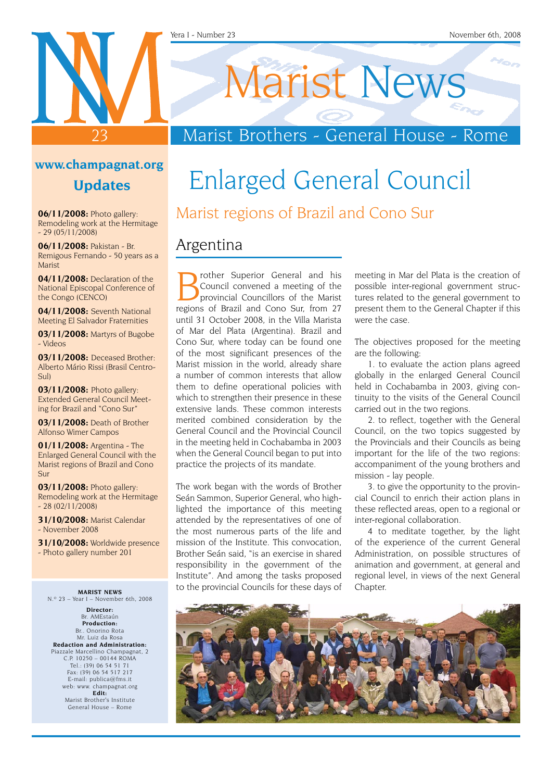Marist News

## Marist Brothers - General House - Rome

### **www.champagnat.org Updates**

23

**06/11/2008:** Photo gallery: Remodeling work at the Hermitage  $-29(05/11/2008)$ 

**06/11/2008:** Pakistan - Br. Remigous Fernando - 50 years as a Marist

**04/11/2008:** Declaration of the National Episcopal Conference of the Congo (CENCO)

**04/11/2008:** Seventh National Meeting El Salvador Fraternities

**03/11/2008:** Martyrs of Bugobe - Videos

**03/11/2008:** Deceased Brother: Alberto Mário Rissi (Brasil Centro-Sul)

**03/11/2008:** Photo gallery: Extended General Council Meeting for Brazil and "Cono Sur"

**03/11/2008:** Death of Brother Alfonso Wimer Campos

**01/11/2008:** Argentina - The Enlarged General Council with the Marist regions of Brazil and Cono Sur

**03/11/2008:** Photo gallery: Remodeling work at the Hermitage - 28 (02/11/2008)

**31/10/2008:** Marist Calendar - November 2008

**31/10/2008:** Worldwide presence - Photo gallery number 201

**MARIST NEWS** N.º 23 – Year I – November 6th, 2008

**Director:** Br. AMEstaún **Production:** Br.. Onorino Rota Mr. Luiz da Rosa **Redaction and Administration:** Piazzale Marcellino Champagnat, 2 C.P. 10250 – 00144 ROMA Tel.: (39) 06 54 51 71 Fax: (39) 06 54 517 217 E-mail: publica@fms.it web: www. champagnat.org **Edit:** Marist Brother's Institute General House – Rome

## Enlarged General Council Marist regions of Brazil and Cono Sur

### Argentina

**Brother Superior General and his Council convened a meeting of the provincial Councillors of the Marist regions of Brazil and Copo Sur from 27** Council convened a meeting of the regions of Brazil and Cono Sur, from 27 until 31 October 2008, in the Villa Marista of Mar del Plata (Argentina). Brazil and Cono Sur, where today can be found one of the most significant presences of the Marist mission in the world, already share a number of common interests that allow them to define operational policies with which to strengthen their presence in these extensive lands. These common interests merited combined consideration by the General Council and the Provincial Council in the meeting held in Cochabamba in 2003 when the General Council began to put into practice the projects of its mandate.

The work began with the words of Brother Seán Sammon, Superior General, who highlighted the importance of this meeting attended by the representatives of one of the most numerous parts of the life and mission of the Institute. This convocation, Brother Seán said, "is an exercise in shared responsibility in the government of the Institute". And among the tasks proposed to the provincial Councils for these days of meeting in Mar del Plata is the creation of possible inter-regional government structures related to the general government to present them to the General Chapter if this were the case.

The objectives proposed for the meeting are the following:

1. to evaluate the action plans agreed globally in the enlarged General Council held in Cochabamba in 2003, giving continuity to the visits of the General Council carried out in the two regions.

2. to reflect, together with the General Council, on the two topics suggested by the Provincials and their Councils as being important for the life of the two regions: accompaniment of the young brothers and mission - lay people.

3. to give the opportunity to the provincial Council to enrich their action plans in these reflected areas, open to a regional or inter-regional collaboration.

4 to meditate together, by the light of the experience of the current General Administration, on possible structures of animation and government, at general and regional level, in views of the next General Chapter.

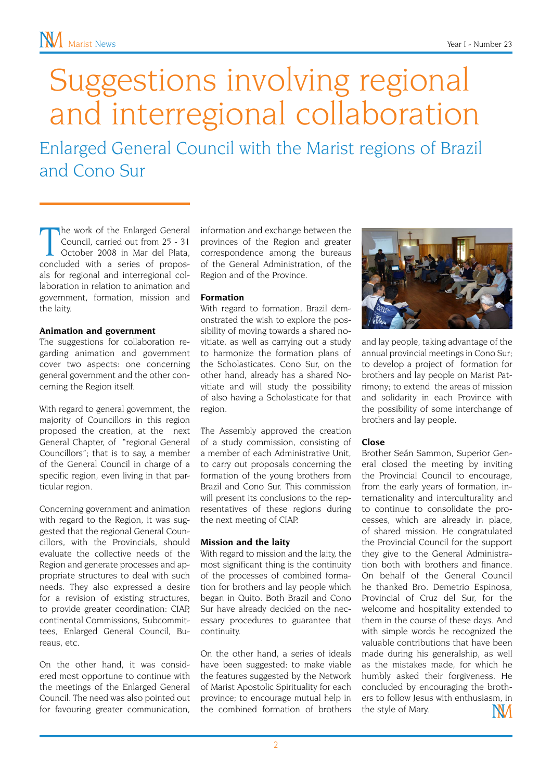# Suggestions involving regional and interregional collaboration

Enlarged General Council with the Marist regions of Brazil and Cono Sur

The work of the Enlarged General<br>
Council, carried out from 25 - 31<br>
October 2008 in Mar del Plata,<br>
concluded with a series of proposhe work of the Enlarged General Council, carried out from 25 - 31 October 2008 in Mar del Plata, als for regional and interregional collaboration in relation to animation and government, formation, mission and the laity.

#### **Animation and government**

The suggestions for collaboration regarding animation and government cover two aspects: one concerning general government and the other concerning the Region itself.

With regard to general government, the majority of Councillors in this region proposed the creation, at the next General Chapter, of "regional General Councillors"; that is to say, a member of the General Council in charge of a specific region, even living in that particular region.

Concerning government and animation with regard to the Region, it was suggested that the regional General Councillors, with the Provincials, should evaluate the collective needs of the Region and generate processes and appropriate structures to deal with such needs. They also expressed a desire for a revision of existing structures, to provide greater coordination: CIAP, continental Commissions, Subcommittees, Enlarged General Council, Bureaus, etc.

On the other hand, it was considered most opportune to continue with the meetings of the Enlarged General Council. The need was also pointed out for favouring greater communication, information and exchange between the provinces of the Region and greater correspondence among the bureaus of the General Administration, of the Region and of the Province.

#### **Formation**

With regard to formation, Brazil demonstrated the wish to explore the possibility of moving towards a shared novitiate, as well as carrying out a study to harmonize the formation plans of the Scholasticates. Cono Sur, on the other hand, already has a shared Novitiate and will study the possibility of also having a Scholasticate for that region.

The Assembly approved the creation of a study commission, consisting of a member of each Administrative Unit, to carry out proposals concerning the formation of the young brothers from Brazil and Cono Sur. This commission will present its conclusions to the representatives of these regions during the next meeting of CIAP.

#### **Mission and the laity**

With regard to mission and the laity, the most significant thing is the continuity of the processes of combined formation for brothers and lay people which began in Quito. Both Brazil and Cono Sur have already decided on the necessary procedures to guarantee that continuity.

On the other hand, a series of ideals have been suggested: to make viable the features suggested by the Network of Marist Apostolic Spirituality for each province; to encourage mutual help in the combined formation of brothers



and lay people, taking advantage of the annual provincial meetings in Cono Sur; to develop a project of formation for brothers and lay people on Marist Patrimony; to extend the areas of mission and solidarity in each Province with the possibility of some interchange of brothers and lay people.

#### **Close**

Brother Seán Sammon, Superior General closed the meeting by inviting the Provincial Council to encourage, from the early years of formation, internationality and interculturality and to continue to consolidate the processes, which are already in place, of shared mission. He congratulated the Provincial Council for the support they give to the General Administration both with brothers and finance. On behalf of the General Council he thanked Bro. Demetrio Espinosa, Provincial of Cruz del Sur, for the welcome and hospitality extended to them in the course of these days. And with simple words he recognized the valuable contributions that have been made during his generalship, as well as the mistakes made, for which he humbly asked their forgiveness. He concluded by encouraging the brothers to follow Jesus with enthusiasm, in the style of Mary.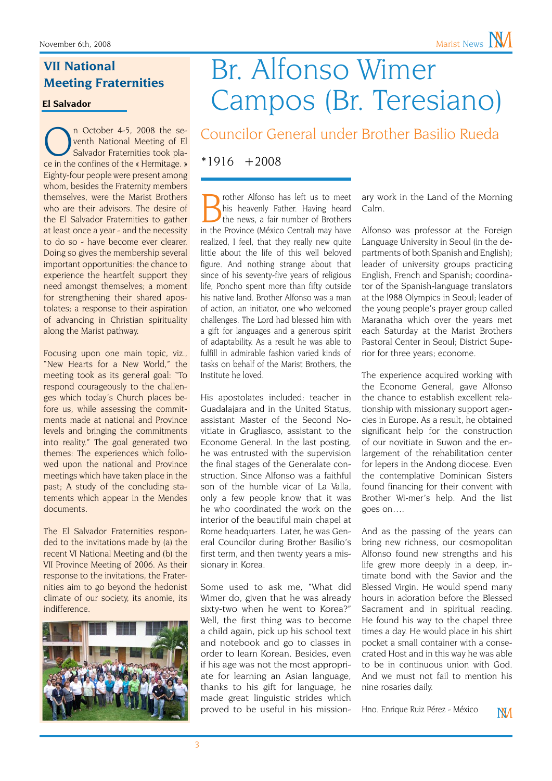### **VII National Meeting Fraternities**

**El Salvador**

**CEP 14-5, 2008** the se-<br>
venth National Meeting of El<br>
Salvador Fraternities took pla-<br>
ce in the confines of the « Hermitage. » n October 4-5, 2008 the seventh National Meeting of El Salvador Fraternities took pla-Eighty-four people were present among whom, besides the Fraternity members themselves, were the Marist Brothers who are their advisors. The desire of the El Salvador Fraternities to gather at least once a year - and the necessity to do so - have become ever clearer. Doing so gives the membership several important opportunities: the chance to experience the heartfelt support they need amongst themselves; a moment for strengthening their shared apostolates; a response to their aspiration of advancing in Christian spirituality along the Marist pathway.

Focusing upon one main topic, viz., "New Hearts for a New World," the meeting took as its general goal: "To respond courageously to the challenges which today's Church places before us, while assessing the commitments made at national and Province levels and bringing the commitments into reality." The goal generated two themes: The experiences which followed upon the national and Province meetings which have taken place in the past; A study of the concluding statements which appear in the Mendes documents.

The El Salvador Fraternities responded to the invitations made by (a) the recent VI National Meeting and (b) the VII Province Meeting of 2006. As their response to the invitations, the Fraternities aim to go beyond the hedonist climate of our society, its anomie, its indifference.



## Br. Alfonso Wimer Campos (Br. Teresiano)

Councilor General under Brother Basilio Rueda

\*1916 +2008

rother Alfonso has left us to meet his heavenly Father. Having heard the news, a fair number of Brothers in the Province (México Central) may have realized, I feel, that they really new quite little about the life of this well beloved figure. And nothing strange about that since of his seventy-five years of religious life, Poncho spent more than fifty outside his native land. Brother Alfonso was a man of action, an initiator, one who welcomed challenges. The Lord had blessed him with a gift for languages and a generous spirit of adaptability. As a result he was able to fulfill in admirable fashion varied kinds of tasks on behalf of the Marist Brothers, the Institute he loved.

His apostolates included: teacher in Guadalajara and in the United Status, assistant Master of the Second Novitiate in Grugliasco, assistant to the Econome General. In the last posting, he was entrusted with the supervision the final stages of the Generalate construction. Since Alfonso was a faithful son of the humble vicar of La Valla, only a few people know that it was he who coordinated the work on the interior of the beautiful main chapel at Rome headquarters. Later, he was General Councilor during Brother Basilio's first term, and then twenty years a missionary in Korea.

Some used to ask me, "What did Wimer do, given that he was already sixty-two when he went to Korea?" Well, the first thing was to become a child again, pick up his school text and notebook and go to classes in order to learn Korean. Besides, even if his age was not the most appropriate for learning an Asian language, thanks to his gift for language, he made great linguistic strides which proved to be useful in his missionary work in the Land of the Morning Calm.

Alfonso was professor at the Foreign Language University in Seoul (in the departments of both Spanish and English); leader of university groups practicing English, French and Spanish; coordinator of the Spanish-language translators at the l988 Olympics in Seoul; leader of the young people's prayer group called Maranatha which over the years met each Saturday at the Marist Brothers Pastoral Center in Seoul; District Superior for three years; econome.

The experience acquired working with the Econome General, gave Alfonso the chance to establish excellent relationship with missionary support agencies in Europe. As a result, he obtained significant help for the construction of our novitiate in Suwon and the enlargement of the rehabilitation center for lepers in the Andong diocese. Even the contemplative Dominican Sisters found financing for their convent with Brother Wi-mer's help. And the list goes on….

And as the passing of the years can bring new richness, our cosmopolitan Alfonso found new strengths and his life grew more deeply in a deep, intimate bond with the Savior and the Blessed Virgin. He would spend many hours in adoration before the Blessed Sacrament and in spiritual reading. He found his way to the chapel three times a day. He would place in his shirt pocket a small container with a consecrated Host and in this way he was able to be in continuous union with God. And we must not fail to mention his nine rosaries daily.

Hno. Enrique Ruiz Pérez - México

**NM**